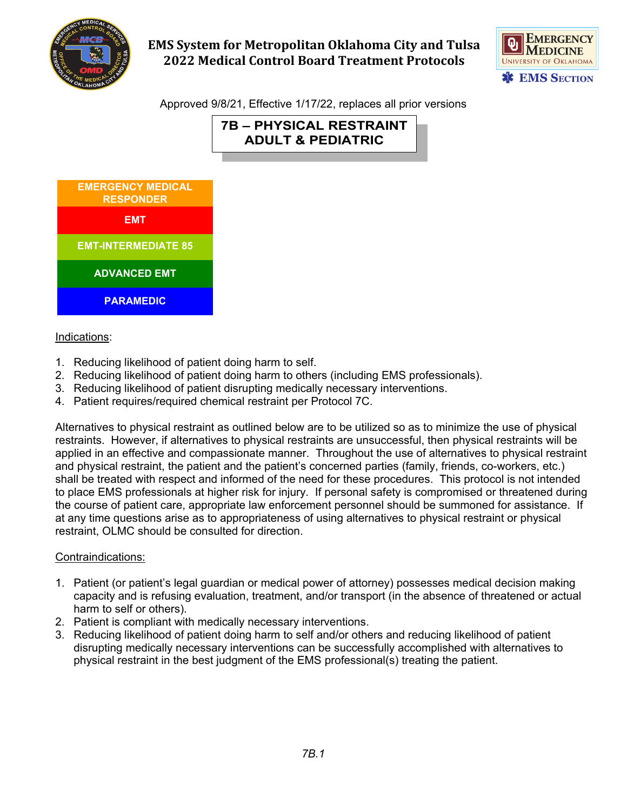

# **EMS System for Metropolitan Oklahoma City and Tulsa 2022 Medical Control Board Treatment Protocols**



Approved 9/8/21, Effective 1/17/22, replaces all prior versions

**7B – PHYSICAL RESTRAINT ADULT & PEDIATRIC**



# Indications:

- 1. Reducing likelihood of patient doing harm to self.
- 2. Reducing likelihood of patient doing harm to others (including EMS professionals).
- 3. Reducing likelihood of patient disrupting medically necessary interventions.
- 4. Patient requires/required chemical restraint per Protocol 7C.

Alternatives to physical restraint as outlined below are to be utilized so as to minimize the use of physical restraints. However, if alternatives to physical restraints are unsuccessful, then physical restraints will be applied in an effective and compassionate manner. Throughout the use of alternatives to physical restraint and physical restraint, the patient and the patient's concerned parties (family, friends, co-workers, etc.) shall be treated with respect and informed of the need for these procedures. This protocol is not intended to place EMS professionals at higher risk for injury. If personal safety is compromised or threatened during the course of patient care, appropriate law enforcement personnel should be summoned for assistance. If at any time questions arise as to appropriateness of using alternatives to physical restraint or physical restraint, OLMC should be consulted for direction.

#### Contraindications:

- 1. Patient (or patient's legal guardian or medical power of attorney) possesses medical decision making capacity and is refusing evaluation, treatment, and/or transport (in the absence of threatened or actual harm to self or others).
- 2. Patient is compliant with medically necessary interventions.
- 3. Reducing likelihood of patient doing harm to self and/or others and reducing likelihood of patient disrupting medically necessary interventions can be successfully accomplished with alternatives to physical restraint in the best judgment of the EMS professional(s) treating the patient.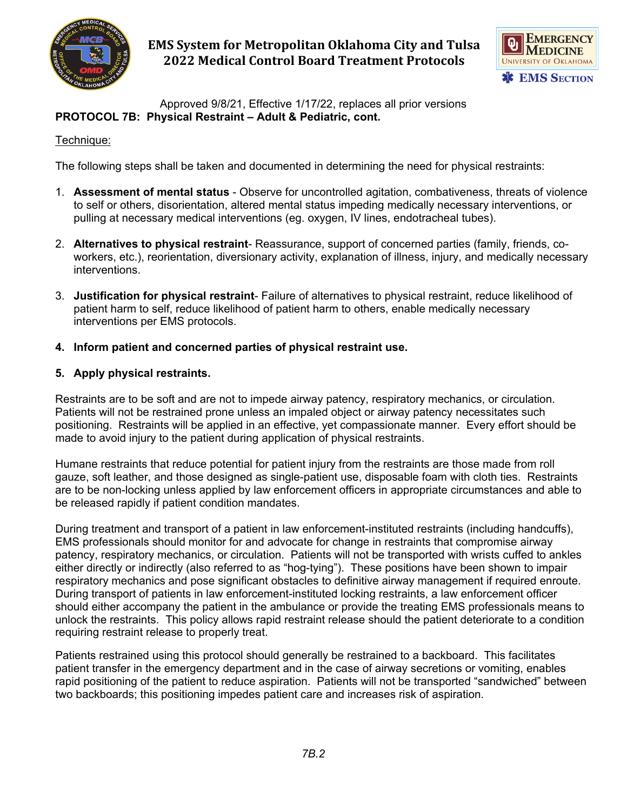

**EMS System for Metropolitan Oklahoma City and Tulsa 2022 Medical Control Board Treatment Protocols**



Approved 9/8/21, Effective 1/17/22, replaces all prior versions **PROTOCOL 7B: Physical Restraint – Adult & Pediatric, cont.**

#### Technique:

The following steps shall be taken and documented in determining the need for physical restraints:

- 1. **Assessment of mental status** Observe for uncontrolled agitation, combativeness, threats of violence to self or others, disorientation, altered mental status impeding medically necessary interventions, or pulling at necessary medical interventions (eg. oxygen, IV lines, endotracheal tubes).
- 2. **Alternatives to physical restraint** Reassurance, support of concerned parties (family, friends, coworkers, etc.), reorientation, diversionary activity, explanation of illness, injury, and medically necessary interventions.
- 3. **Justification for physical restraint** Failure of alternatives to physical restraint, reduce likelihood of patient harm to self, reduce likelihood of patient harm to others, enable medically necessary interventions per EMS protocols.
- **4. Inform patient and concerned parties of physical restraint use.**

# **5. Apply physical restraints.**

Restraints are to be soft and are not to impede airway patency, respiratory mechanics, or circulation. Patients will not be restrained prone unless an impaled object or airway patency necessitates such positioning. Restraints will be applied in an effective, yet compassionate manner. Every effort should be made to avoid injury to the patient during application of physical restraints.

Humane restraints that reduce potential for patient injury from the restraints are those made from roll gauze, soft leather, and those designed as single-patient use, disposable foam with cloth ties. Restraints are to be non-locking unless applied by law enforcement officers in appropriate circumstances and able to be released rapidly if patient condition mandates.

During treatment and transport of a patient in law enforcement-instituted restraints (including handcuffs), EMS professionals should monitor for and advocate for change in restraints that compromise airway patency, respiratory mechanics, or circulation. Patients will not be transported with wrists cuffed to ankles either directly or indirectly (also referred to as "hog-tying"). These positions have been shown to impair respiratory mechanics and pose significant obstacles to definitive airway management if required enroute. During transport of patients in law enforcement-instituted locking restraints, a law enforcement officer should either accompany the patient in the ambulance or provide the treating EMS professionals means to unlock the restraints. This policy allows rapid restraint release should the patient deteriorate to a condition requiring restraint release to properly treat.

Patients restrained using this protocol should generally be restrained to a backboard. This facilitates patient transfer in the emergency department and in the case of airway secretions or vomiting, enables rapid positioning of the patient to reduce aspiration. Patients will not be transported "sandwiched" between two backboards; this positioning impedes patient care and increases risk of aspiration.